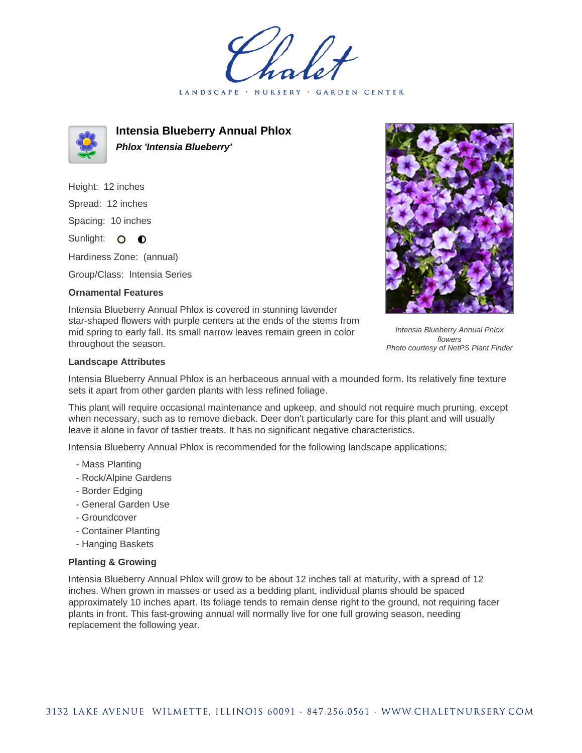GARDEN CENTER LANDSCAPE · NURSERY



**Intensia Blueberry Annual Phlox Phlox 'Intensia Blueberry'**

Height: 12 inches Spread: 12 inches Spacing: 10 inches Sunlight: O **O** 

Hardiness Zone: (annual)

Group/Class: Intensia Series

## **Ornamental Features**

Intensia Blueberry Annual Phlox is covered in stunning lavender star-shaped flowers with purple centers at the ends of the stems from mid spring to early fall. Its small narrow leaves remain green in color throughout the season.



Intensia Blueberry Annual Phlox flowers Photo courtesy of NetPS Plant Finder

## **Landscape Attributes**

Intensia Blueberry Annual Phlox is an herbaceous annual with a mounded form. Its relatively fine texture sets it apart from other garden plants with less refined foliage.

This plant will require occasional maintenance and upkeep, and should not require much pruning, except when necessary, such as to remove dieback. Deer don't particularly care for this plant and will usually leave it alone in favor of tastier treats. It has no significant negative characteristics.

Intensia Blueberry Annual Phlox is recommended for the following landscape applications;

- Mass Planting
- Rock/Alpine Gardens
- Border Edging
- General Garden Use
- Groundcover
- Container Planting
- Hanging Baskets

## **Planting & Growing**

Intensia Blueberry Annual Phlox will grow to be about 12 inches tall at maturity, with a spread of 12 inches. When grown in masses or used as a bedding plant, individual plants should be spaced approximately 10 inches apart. Its foliage tends to remain dense right to the ground, not requiring facer plants in front. This fast-growing annual will normally live for one full growing season, needing replacement the following year.